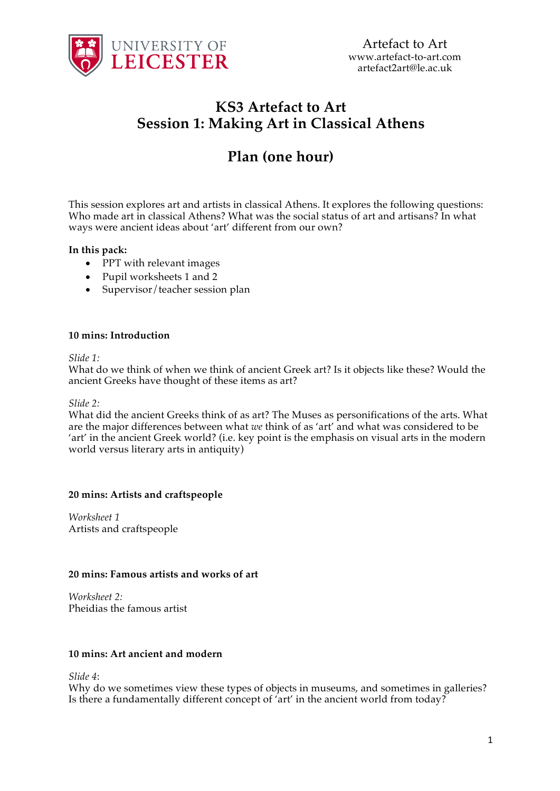

## **KS3 Artefact to Art Session 1: Making Art in Classical Athens**

# **Plan (one hour)**

This session explores art and artists in classical Athens. It explores the following questions: Who made art in classical Athens? What was the social status of art and artisans? In what ways were ancient ideas about 'art' different from our own?

#### **In this pack:**

- PPT with relevant images
- Pupil worksheets 1 and 2
- Supervisor/teacher session plan

#### **10 mins: Introduction**

*Slide 1:*

What do we think of when we think of ancient Greek art? Is it objects like these? Would the ancient Greeks have thought of these items as art?

*Slide 2:*

What did the ancient Greeks think of as art? The Muses as personifications of the arts. What are the major differences between what *we* think of as 'art' and what was considered to be 'art' in the ancient Greek world? (i.e. key point is the emphasis on visual arts in the modern world versus literary arts in antiquity)

#### **20 mins: Artists and craftspeople**

*Worksheet 1* Artists and craftspeople

#### **20 mins: Famous artists and works of art**

*Worksheet 2:* Pheidias the famous artist

#### **10 mins: Art ancient and modern**

*Slide 4*:

Why do we sometimes view these types of objects in museums, and sometimes in galleries? Is there a fundamentally different concept of 'art' in the ancient world from today?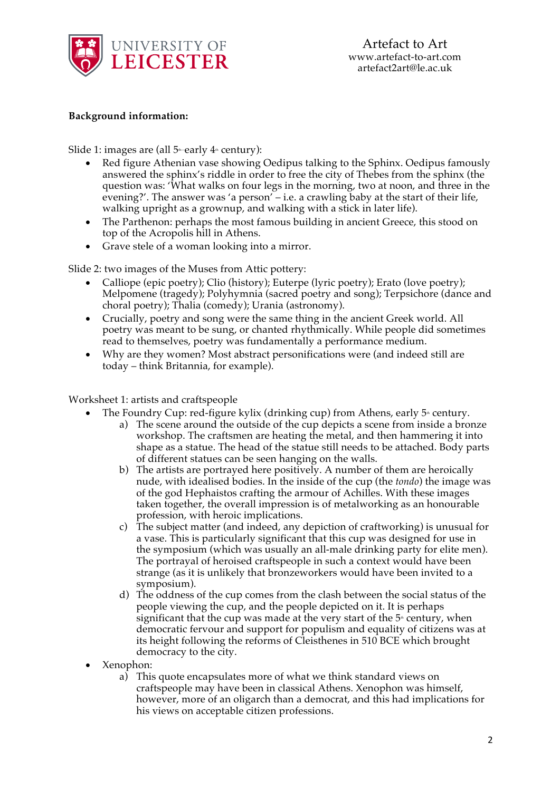

#### **Background information:**

Slide 1: images are (all  $5$ <sup>th</sup>-early  $4$ <sup>th</sup> century):

- Red figure Athenian vase showing Oedipus talking to the Sphinx. Oedipus famously answered the sphinx's riddle in order to free the city of Thebes from the sphinx (the question was: 'What walks on four legs in the morning, two at noon, and three in the evening?'. The answer was 'a person' – i.e. a crawling baby at the start of their life, walking upright as a grownup, and walking with a stick in later life).
- The Parthenon: perhaps the most famous building in ancient Greece, this stood on top of the Acropolis hill in Athens.
- Grave stele of a woman looking into a mirror.

Slide 2: two images of the Muses from Attic pottery:

- Calliope (epic poetry); Clio (history); Euterpe (lyric poetry); Erato (love poetry); Melpomene (tragedy); Polyhymnia (sacred poetry and song); Terpsichore (dance and choral poetry); Thalia (comedy); Urania (astronomy).
- Crucially, poetry and song were the same thing in the ancient Greek world. All poetry was meant to be sung, or chanted rhythmically. While people did sometimes read to themselves, poetry was fundamentally a performance medium.
- Why are they women? Most abstract personifications were (and indeed still are today – think Britannia, for example).

#### Worksheet 1: artists and craftspeople

- The Foundry Cup: red-figure kylix (drinking cup) from Athens, early  $5<sup>*</sup>$  century.
	- a) The scene around the outside of the cup depicts a scene from inside a bronze workshop. The craftsmen are heating the metal, and then hammering it into shape as a statue. The head of the statue still needs to be attached. Body parts of different statues can be seen hanging on the walls.
	- b) The artists are portrayed here positively. A number of them are heroically nude, with idealised bodies. In the inside of the cup (the *tondo*) the image was of the god Hephaistos crafting the armour of Achilles. With these images taken together, the overall impression is of metalworking as an honourable profession, with heroic implications.
	- c) The subject matter (and indeed, any depiction of craftworking) is unusual for a vase. This is particularly significant that this cup was designed for use in the symposium (which was usually an all-male drinking party for elite men). The portrayal of heroised craftspeople in such a context would have been strange (as it is unlikely that bronzeworkers would have been invited to a symposium).
	- d) The oddness of the cup comes from the clash between the social status of the people viewing the cup, and the people depicted on it. It is perhaps significant that the cup was made at the very start of the  $5<sup>*</sup>$  century, when democratic fervour and support for populism and equality of citizens was at its height following the reforms of Cleisthenes in 510 BCE which brought democracy to the city.
- Xenophon:
	- a) This quote encapsulates more of what we think standard views on craftspeople may have been in classical Athens. Xenophon was himself, however, more of an oligarch than a democrat, and this had implications for his views on acceptable citizen professions.